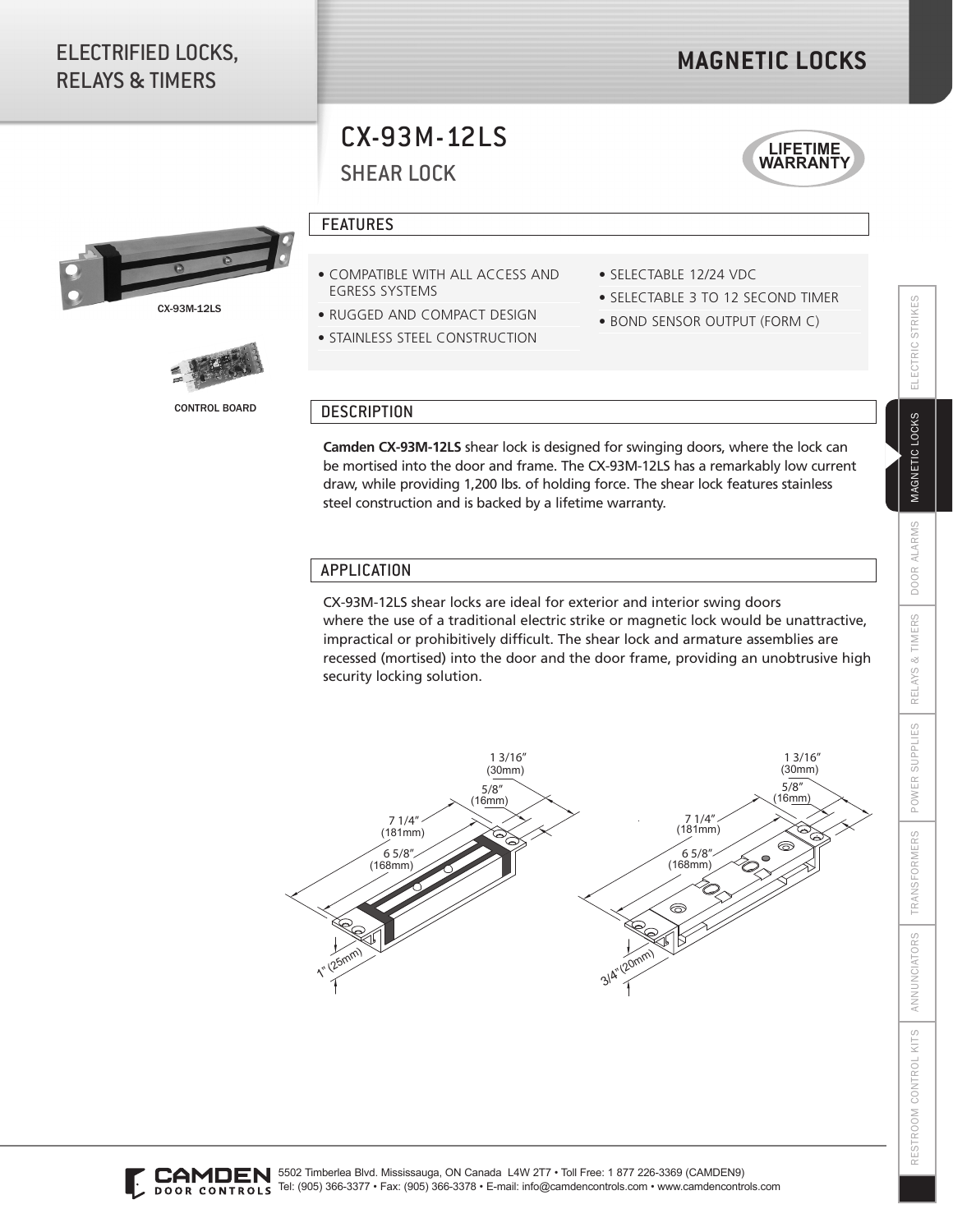## ELECTRIFIED LOCKS, RELAYS & TIMERS

## **MAGNETIC LOCKS**

# SHEAR LOCK CX-93M-12LS







CONTROL BOARD

### FEATURES

- COMPATIBLE WITH ALL ACCESS AND EGRESS SYSTEMS
- RUGGED AND COMPACT DESIGN
- **STAINLESS STEEL CONSTRUCTION**
- SELECTABLE 12/24 VDC
- SELECTABLE 3 TO 12 SECOND TIMER
- BOND SENSOR OUTPUT (FORM C)

#### **DESCRIPTION**

**Camden CX-93M-12LS** shear lock is designed for swinging doors, where the lock can be mortised into the door and frame. The CX-93M-12LS has a remarkably low current draw, while providing 1,200 lbs. of holding force. The shear lock features stainless steel construction and is backed by a lifetime warranty.

#### APPLICATION

CX-93M-12LS shear locks are ideal for exterior and interior swing doors where the use of a traditional electric strike or magnetic lock would be unattractive, impractical or prohibitively difficult. The shear lock and armature assemblies are recessed (mortised) into the door and the door frame, providing an unobtrusive high security locking solution.



ELECTRIC STRIKES RESTROOM CONTROL KITS ANNUNCIATORS TRANSFORMERS POWER SUPPLIES RELAYS & TIMERS DOOR ALARMS MAGNETIC LOCKS ELECTRIC STRIKES MAGNETIC LOCKS ALARMS DOOR. RELAYS & TIMERS POWER SUPPLIES **TRANSFORMERS** ANNUNCIATORS RESTROOM CONTROL KITS